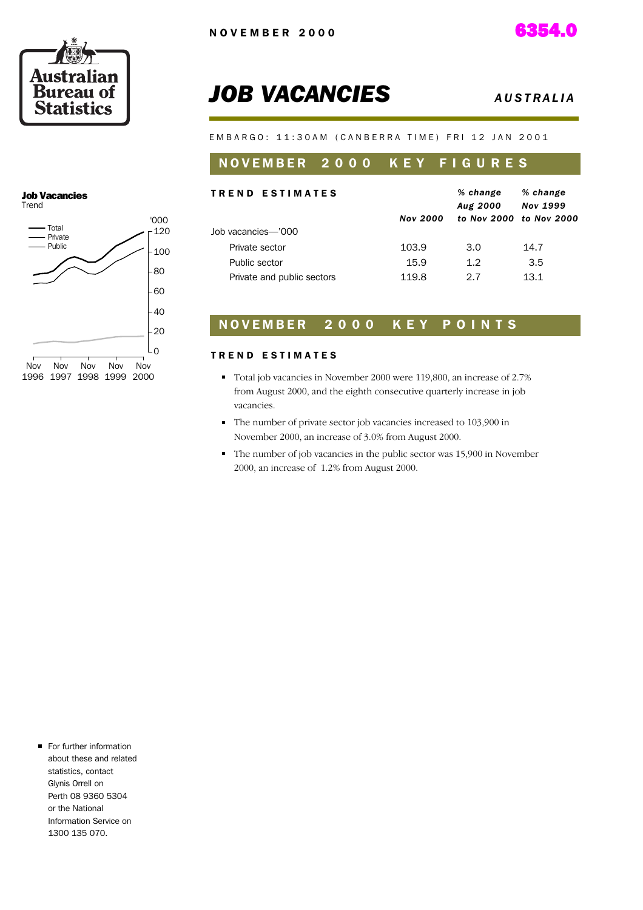

# **JOB VACANCIES** *AUSTRALIA*

E M B A R G O : 11:30 A M ( C A N B E R R A T I M E ) F R I 12 J A N 2001

### NOVEMBER 2000 KEY FIGURES

| <b>TREND ESTIMATES</b>     | <b>Nov 2000</b> | % change<br>Aug 2000 | % change<br><b>Nov 1999</b><br>to Nov 2000 to Nov 2000 |
|----------------------------|-----------------|----------------------|--------------------------------------------------------|
| Job vacancies—'000         |                 |                      |                                                        |
| Private sector             | 103.9           | 3.0                  | 14.7                                                   |
| Public sector              | 15.9            | 1.2                  | 3.5                                                    |
| Private and public sectors | 119.8           | 27                   | 13 1                                                   |

### NOVEMBER 2000 KEY POINTS

#### TREND ESTIMATES

- Total job vacancies in November 2000 were 119,800, an increase of 2.7% from August 2000, and the eighth consecutive quarterly increase in job vacancies.
- The number of private sector job vacancies increased to 103,900 in November 2000, an increase of 3.0% from August 2000.
- The number of job vacancies in the public sector was 15,900 in November 2000, an increase of 1.2% from August 2000.

#### Job Vacancies Trend



For further information about these and related statistics, contact Glynis Orrell on Perth 08 9360 5304 or the National Information Service on 1300 135 070.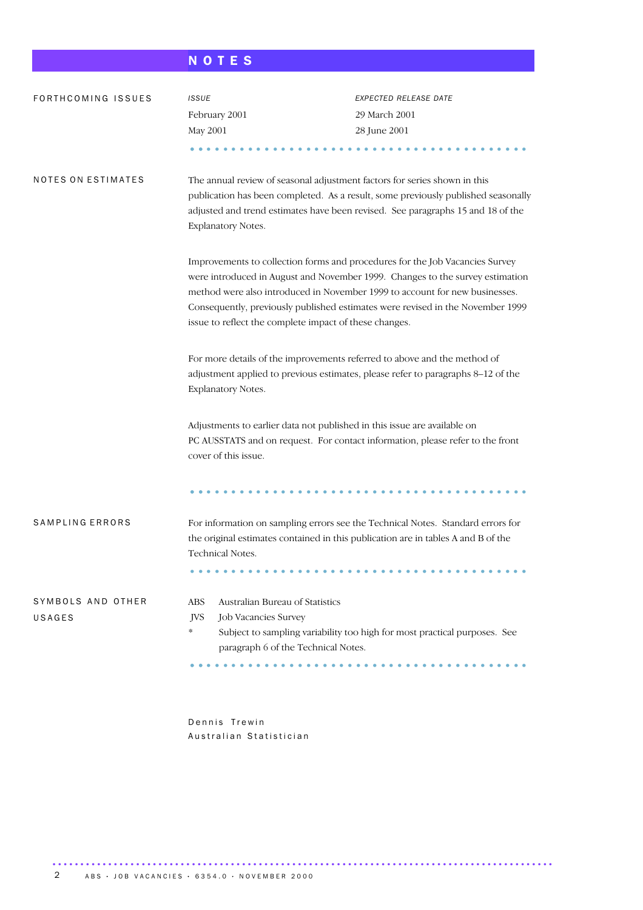# N O T E S

| FORTHCOMING ISSUES          | <b>ISSUE</b>                                                                                                                                                                       | EXPECTED RELEASE DATE                                                                                                                                                                                                                                                                                                          |  |  |  |  |
|-----------------------------|------------------------------------------------------------------------------------------------------------------------------------------------------------------------------------|--------------------------------------------------------------------------------------------------------------------------------------------------------------------------------------------------------------------------------------------------------------------------------------------------------------------------------|--|--|--|--|
|                             | February 2001                                                                                                                                                                      | 29 March 2001                                                                                                                                                                                                                                                                                                                  |  |  |  |  |
|                             | May 2001                                                                                                                                                                           | 28 June 2001                                                                                                                                                                                                                                                                                                                   |  |  |  |  |
|                             |                                                                                                                                                                                    |                                                                                                                                                                                                                                                                                                                                |  |  |  |  |
| NOTES ON ESTIMATES          | The annual review of seasonal adjustment factors for series shown in this<br>Explanatory Notes.                                                                                    | publication has been completed. As a result, some previously published seasonally<br>adjusted and trend estimates have been revised. See paragraphs 15 and 18 of the                                                                                                                                                           |  |  |  |  |
|                             | issue to reflect the complete impact of these changes.                                                                                                                             | Improvements to collection forms and procedures for the Job Vacancies Survey<br>were introduced in August and November 1999. Changes to the survey estimation<br>method were also introduced in November 1999 to account for new businesses.<br>Consequently, previously published estimates were revised in the November 1999 |  |  |  |  |
|                             | For more details of the improvements referred to above and the method of<br>adjustment applied to previous estimates, please refer to paragraphs 8-12 of the<br>Explanatory Notes. |                                                                                                                                                                                                                                                                                                                                |  |  |  |  |
|                             | Adjustments to earlier data not published in this issue are available on<br>PC AUSSTATS and on request. For contact information, please refer to the front<br>cover of this issue. |                                                                                                                                                                                                                                                                                                                                |  |  |  |  |
|                             |                                                                                                                                                                                    |                                                                                                                                                                                                                                                                                                                                |  |  |  |  |
| SAMPLING ERRORS             | the original estimates contained in this publication are in tables A and B of the<br>Technical Notes.<br>.                                                                         | For information on sampling errors see the Technical Notes. Standard errors for                                                                                                                                                                                                                                                |  |  |  |  |
| SYMBOLS AND OTHER<br>USAGES | Australian Bureau of Statistics<br><b>ABS</b><br><b>JVS</b><br>Job Vacancies Survey<br>$\ast$<br>paragraph 6 of the Technical Notes.                                               | Subject to sampling variability too high for most practical purposes. See                                                                                                                                                                                                                                                      |  |  |  |  |

Dennis Trewin Australian Statistician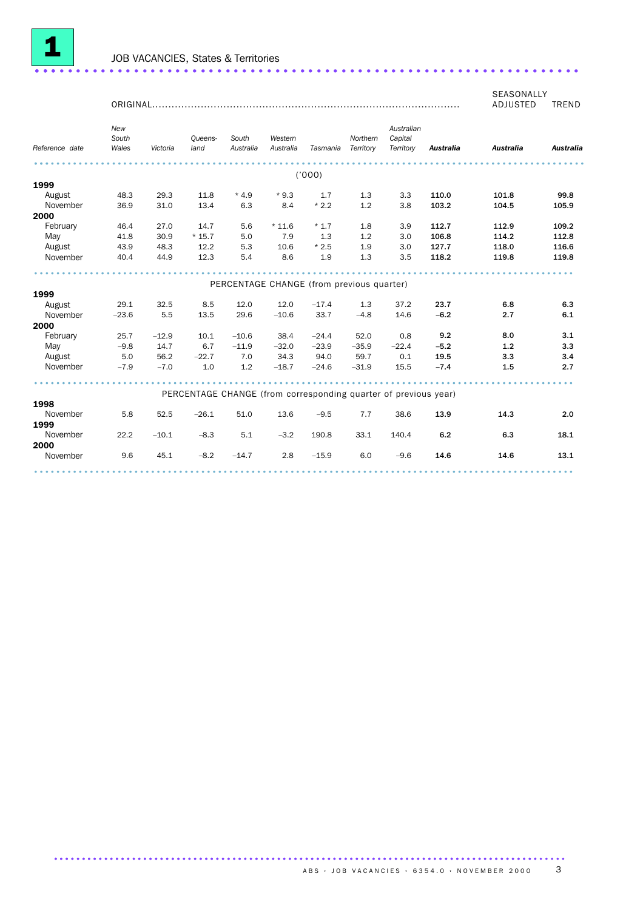

SEASONALLY ADJUSTED TREND

|                | New<br>South |          | Oueens-                                                         | South     | Western   |                                           | Northern  | Australian<br>Capital |                  |                  |                  |
|----------------|--------------|----------|-----------------------------------------------------------------|-----------|-----------|-------------------------------------------|-----------|-----------------------|------------------|------------------|------------------|
| Reference date | Wales        | Victoria | land                                                            | Australia | Australia | Tasmania                                  | Territory | Territory             | <b>Australia</b> | <b>Australia</b> | <b>Australia</b> |
|                |              |          |                                                                 |           |           | ('000)                                    |           |                       |                  |                  |                  |
| 1999           |              |          |                                                                 |           |           |                                           |           |                       |                  |                  |                  |
| August         | 48.3         | 29.3     | 11.8                                                            | $*4.9$    | $*9.3$    | 1.7                                       | 1.3       | 3.3                   | 110.0            | 101.8            | 99.8             |
| November       | 36.9         | 31.0     | 13.4                                                            | 6.3       | 8.4       | $*2.2$                                    | 1.2       | 3.8                   | 103.2            | 104.5            | 105.9            |
| 2000           |              |          |                                                                 |           |           |                                           |           |                       |                  |                  |                  |
| February       | 46.4         | 27.0     | 14.7                                                            | 5.6       | $*11.6$   | $*1.7$                                    | 1.8       | 3.9                   | 112.7            | 112.9            | 109.2            |
| May            | 41.8         | 30.9     | $*15.7$                                                         | 5.0       | 7.9       | 1.3                                       | 1.2       | 3.0                   | 106.8            | 114.2            | 112.8            |
| August         | 43.9         | 48.3     | 12.2                                                            | 5.3       | 10.6      | $*2.5$                                    | 1.9       | 3.0                   | 127.7            | 118.0            | 116.6            |
| November       | 40.4         | 44.9     | 12.3                                                            | 5.4       | 8.6       | 1.9                                       | 1.3       | 3.5                   | 118.2            | 119.8            | 119.8            |
|                |              |          |                                                                 |           |           |                                           |           |                       |                  |                  |                  |
|                |              |          |                                                                 |           |           | PERCENTAGE CHANGE (from previous quarter) |           |                       |                  |                  |                  |
| 1999           |              |          |                                                                 |           |           |                                           |           |                       |                  |                  |                  |
| August         | 29.1         | 32.5     | 8.5                                                             | 12.0      | 12.0      | $-17.4$                                   | 1.3       | 37.2                  | 23.7             | 6.8              | 6.3              |
| November       | $-23.6$      | 5.5      | 13.5                                                            | 29.6      | $-10.6$   | 33.7                                      | $-4.8$    | 14.6                  | $-6.2$           | 2.7              | 6.1              |
| 2000           |              |          |                                                                 |           |           |                                           |           |                       |                  |                  |                  |
| February       | 25.7         | $-12.9$  | 10.1                                                            | $-10.6$   | 38.4      | $-24.4$                                   | 52.0      | 0.8                   | 9.2              | 8.0              | 3.1              |
| May            | $-9.8$       | 14.7     | 6.7                                                             | $-11.9$   | $-32.0$   | $-23.9$                                   | $-35.9$   | $-22.4$               | $-5.2$           | 1.2              | 3.3              |
| August         | 5.0          | 56.2     | $-22.7$                                                         | 7.0       | 34.3      | 94.0                                      | 59.7      | 0.1                   | 19.5             | 3.3              | 3.4              |
| November       | $-7.9$       | $-7.0$   | 1.0                                                             | 1.2       | $-18.7$   | $-24.6$                                   | $-31.9$   | 15.5                  | $-7.4$           | 1.5              | 2.7              |
|                |              |          |                                                                 |           |           |                                           |           |                       |                  |                  |                  |
|                |              |          | PERCENTAGE CHANGE (from corresponding quarter of previous year) |           |           |                                           |           |                       |                  |                  |                  |
| 1998           |              |          |                                                                 |           |           |                                           |           |                       |                  |                  |                  |
| November       | 5.8          | 52.5     | $-26.1$                                                         | 51.0      | 13.6      | $-9.5$                                    | 7.7       | 38.6                  | 13.9             | 14.3             | 2.0              |
| 1999           |              |          |                                                                 |           |           |                                           |           |                       |                  |                  |                  |
| November       | 22.2         | $-10.1$  | $-8.3$                                                          | 5.1       | $-3.2$    | 190.8                                     | 33.1      | 140.4                 | 6.2              | 6.3              | 18.1             |
| 2000           |              |          |                                                                 |           |           |                                           |           |                       |                  |                  |                  |
| November       | 9.6          | 45.1     | $-8.2$                                                          | $-14.7$   | 2.8       | $-15.9$                                   | 6.0       | $-9.6$                | 14.6             | 14.6             | 13.1             |
|                |              |          |                                                                 |           |           |                                           |           |                       |                  |                  |                  |

............................................................................................ .......................................................................................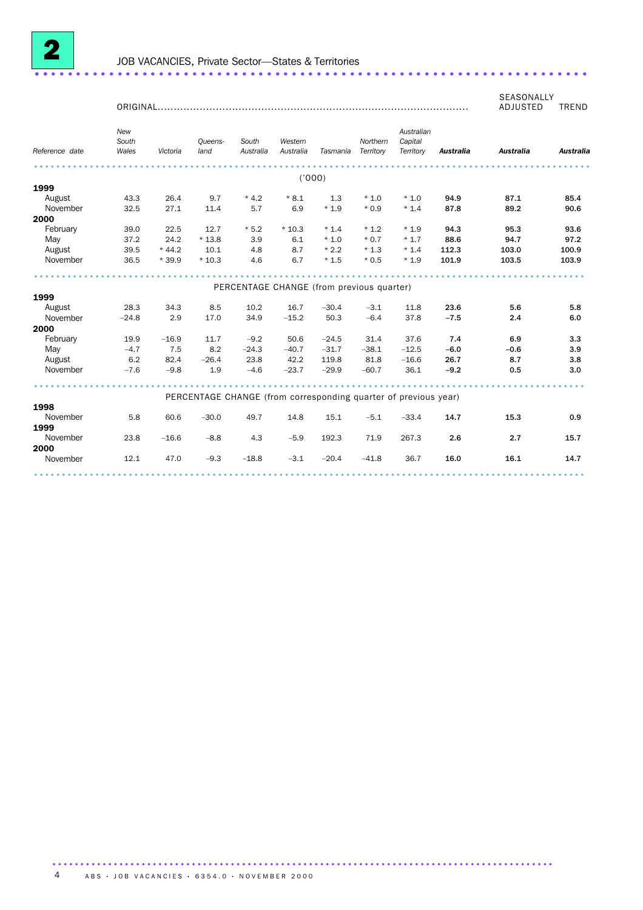

|                |                       | ORIGINAL |                                                                 |                                           |                      |          |                       |                                    |           | SEASONALLY<br>ADJUSTED | <b>TREND</b>     |
|----------------|-----------------------|----------|-----------------------------------------------------------------|-------------------------------------------|----------------------|----------|-----------------------|------------------------------------|-----------|------------------------|------------------|
| Reference date | New<br>South<br>Wales | Victoria | Oueens-<br>land                                                 | South<br>Australia                        | Western<br>Australia | Tasmania | Northern<br>Territory | Australian<br>Capital<br>Territory | Australia | <b>Australia</b>       | <b>Australia</b> |
|                |                       |          |                                                                 |                                           | ('000)               |          |                       |                                    |           |                        |                  |
| 1999           |                       |          |                                                                 |                                           |                      |          |                       |                                    |           |                        |                  |
| August         | 43.3                  | 26.4     | 9.7                                                             | $*4.2$                                    | $*8.1$               | 1.3      | $*1.0$                | $*1.0$                             | 94.9      | 87.1                   | 85.4             |
| November       | 32.5                  | 27.1     | 11.4                                                            | 5.7                                       | 6.9                  | $*1.9$   | $*0.9$                | $*1.4$                             | 87.8      | 89.2                   | 90.6             |
| 2000           |                       |          |                                                                 |                                           |                      |          |                       |                                    |           |                        |                  |
| February       | 39.0                  | 22.5     | 12.7                                                            | $*5.2$                                    | $*10.3$              | $*1.4$   | $*1.2$                | $*1.9$                             | 94.3      | 95.3                   | 93.6             |
| May            | 37.2                  | 24.2     | $*13.8$                                                         | 3.9                                       | 6.1                  | $*1.0$   | $*0.7$                | $*1.7$                             | 88.6      | 94.7                   | 97.2             |
| August         | 39.5                  | $*44.2$  | 10.1                                                            | 4.8                                       | 8.7                  | $*2.2$   | $*1.3$                | $*1.4$                             | 112.3     | 103.0                  | 100.9            |
| November       | 36.5                  | $*39.9$  | $*10.3$                                                         | 4.6                                       | 6.7                  | $*1.5$   | $*0.5$                | $*1.9$                             | 101.9     | 103.5                  | 103.9            |
|                |                       |          |                                                                 |                                           |                      |          |                       |                                    |           |                        |                  |
|                |                       |          |                                                                 | PERCENTAGE CHANGE (from previous quarter) |                      |          |                       |                                    |           |                        |                  |
| 1999           |                       |          |                                                                 |                                           |                      |          |                       |                                    |           |                        |                  |
| August         | 28.3                  | 34.3     | 8.5                                                             | 10.2                                      | 16.7                 | $-30.4$  | $-3.1$                | 11.8                               | 23.6      | 5.6                    | 5.8              |
| November       | $-24.8$               | 2.9      | 17.0                                                            | 34.9                                      | $-15.2$              | 50.3     | $-6.4$                | 37.8                               | $-7.5$    | 2.4                    | 6.0              |
| 2000           |                       |          |                                                                 |                                           |                      |          |                       |                                    |           |                        |                  |
| February       | 19.9                  | $-16.9$  | 11.7                                                            | $-9.2$                                    | 50.6                 | $-24.5$  | 31.4                  | 37.6                               | 7.4       | 6.9                    | 3.3              |
| May            | $-4.7$                | 7.5      | 8.2                                                             | $-24.3$                                   | $-40.7$              | $-31.7$  | $-38.1$               | $-12.5$                            | $-6.0$    | $-0.6$                 | 3.9              |
| August         | 6.2                   | 82.4     | $-26.4$                                                         | 23.8                                      | 42.2                 | 119.8    | 81.8                  | $-16.6$                            | 26.7      | 8.7                    | 3.8              |
| November       | $-7.6$                | $-9.8$   | 1.9                                                             | $-4.6$                                    | $-23.7$              | $-29.9$  | $-60.7$               | 36.1                               | $-9.2$    | 0.5                    | 3.0              |
|                |                       |          | PERCENTAGE CHANGE (from corresponding quarter of previous year) |                                           |                      |          |                       |                                    |           |                        |                  |
| 1998           |                       |          |                                                                 |                                           |                      |          |                       |                                    |           |                        |                  |
| November       | 5.8                   | 60.6     | $-30.0$                                                         | 49.7                                      | 14.8                 | 15.1     | $-5.1$                | $-33.4$                            | 14.7      | 15.3                   | 0.9              |
| 1999           |                       |          |                                                                 |                                           |                      |          |                       |                                    |           |                        |                  |
| November       | 23.8                  | $-16.6$  | $-8.8$                                                          | 4.3                                       | $-5.9$               | 192.3    | 71.9                  | 267.3                              | 2.6       | 2.7                    | 15.7             |
| 2000           |                       |          |                                                                 |                                           |                      |          |                       |                                    |           |                        |                  |
| November       | 12.1                  | 47.0     | $-9.3$                                                          | $-18.8$                                   | $-3.1$               | $-20.4$  | $-41.8$               | 36.7                               | 16.0      | 16.1                   | 14.7             |
|                |                       |          |                                                                 |                                           |                      |          |                       |                                    |           |                        |                  |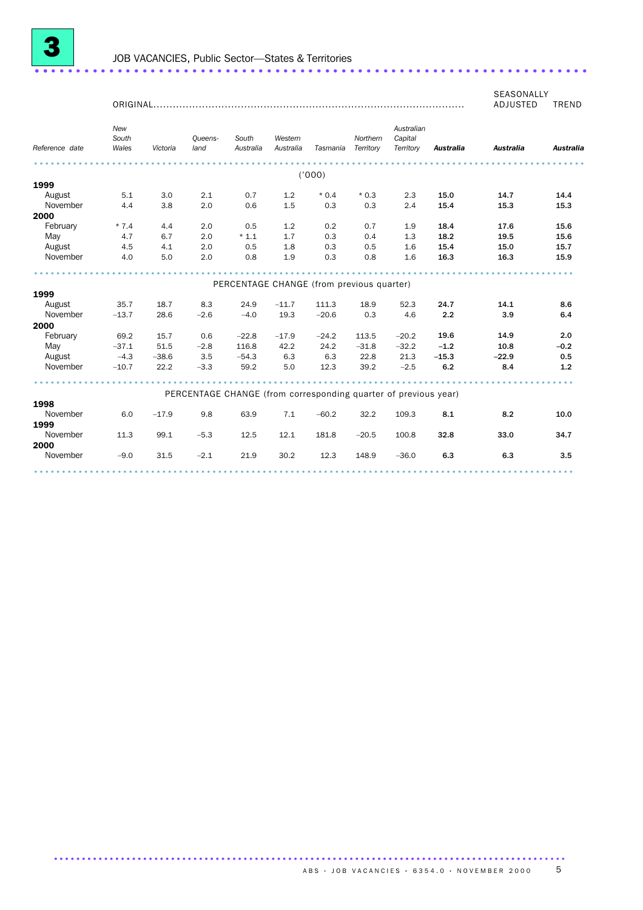

ORIGINAL................................................................................................ SEASONALLY<br>ADJUSTED TREND ADJUSTED *Reference date New South Wales Victoria Queens-South land Australia Australia Tasmania Territory Territory Australia Australia Australia Western Northern Capital Australian* ................................................................................................... ('000) **1999**<br>August August 5.1 3.0 2.1 0.7 1.2 \* 0.4 \* 0.3 2.3 15.0 14.7 14.4 November 4.4 3.8 2.0 0.6 1.5 0.3 0.3 2.4 15.4 15.3 15.3 2000

February \* 7.4 4.4 2.0 0.5 1.2 0.2 0.7 1.9 18.4 17.6 15.6 May 4.7 6.7 2.0 \* 1.1 1.7 0.3 0.4 1.3 18.2 19.5 15.6 August 4.5 4.1 2.0 0.5 1.8 0.3 0.5 1.6 15.4 15.0 15.7 November 4.0 5.0 2.0 0.8 1.9 0.3 0.8 1.6 16.3 16.3 15.9 November 4.0 5.0 2.0 0.8 1.9 0.3 0.8 1.6 16.3 16.3 15.9 PERCENTAGE CHANGE (from previous quarter)

| 1999             |         |         |        |                                                                 |         |         |         |         |         |         |        |
|------------------|---------|---------|--------|-----------------------------------------------------------------|---------|---------|---------|---------|---------|---------|--------|
| August           | 35.7    | 18.7    | 8.3    | 24.9                                                            | $-11.7$ | 111.3   | 18.9    | 52.3    | 24.7    | 14.1    | 8.6    |
| November         | $-13.7$ | 28.6    | $-2.6$ | $-4.0$                                                          | 19.3    | $-20.6$ | 0.3     | 4.6     | 2.2     | 3.9     | 6.4    |
| 2000             |         |         |        |                                                                 |         |         |         |         |         |         |        |
| February         | 69.2    | 15.7    | 0.6    | $-22.8$                                                         | $-17.9$ | $-24.2$ | 113.5   | $-20.2$ | 19.6    | 14.9    | 2.0    |
| May              | $-37.1$ | 51.5    | $-2.8$ | 116.8                                                           | 42.2    | 24.2    | $-31.8$ | $-32.2$ | $-1.2$  | 10.8    | $-0.2$ |
| August           | $-4.3$  | $-38.6$ | 3.5    | $-54.3$                                                         | 6.3     | 6.3     | 22.8    | 21.3    | $-15.3$ | $-22.9$ | 0.5    |
| November         | $-10.7$ | 22.2    | $-3.3$ | 59.2                                                            | 5.0     | 12.3    | 39.2    | $-2.5$  | 6.2     | 8.4     | 1.2    |
|                  |         |         |        | PERCENTAGE CHANGE (from corresponding quarter of previous year) |         |         |         |         |         |         |        |
| 1998<br>November | 6.0     | $-17.9$ | 9.8    | 63.9                                                            | 7.1     | $-60.2$ | 32.2    | 109.3   | 8.1     | 8.2     | 10.0   |
| 1999             |         |         |        |                                                                 |         |         |         |         |         |         |        |
| November         | 11.3    | 99.1    | $-5.3$ | 12.5                                                            | 12.1    | 181.8   | $-20.5$ | 100.8   | 32.8    | 33.0    | 34.7   |
| 2000             |         |         |        |                                                                 |         |         |         |         |         |         |        |
| November         | $-9.0$  | 31.5    | $-2.1$ | 21.9                                                            | 30.2    | 12.3    | 148.9   | $-36.0$ | 6.3     | 6.3     | 3.5    |
|                  |         |         |        |                                                                 |         |         |         |         |         |         |        |

............................................................................................ .......................................................................................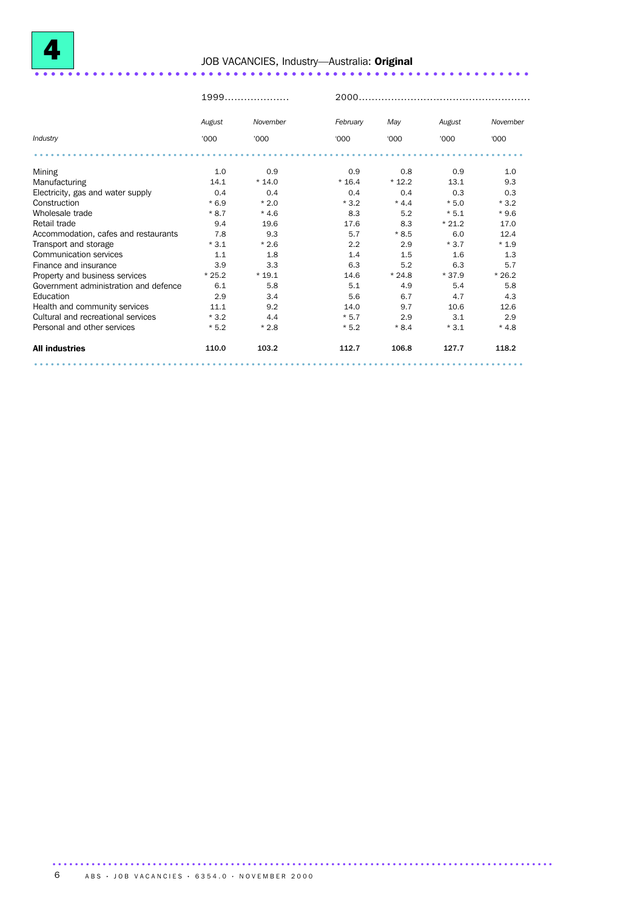

# <sup>4</sup> JOB VACANCIES, Industry—Australia: Original ............................................................ ........ ..................................

|                                       | $1999$  |          | 2000.    |         |         |          |  |
|---------------------------------------|---------|----------|----------|---------|---------|----------|--|
|                                       | August  | November | February | May     | August  | November |  |
| Industry                              | '000    | '000     | '000     | '000    | '000    | '000     |  |
|                                       |         |          |          |         |         |          |  |
| Mining                                | 1.0     | 0.9      | 0.9      | 0.8     | 0.9     | 1.0      |  |
| Manufacturing                         | 14.1    | $*14.0$  | $*16.4$  | $*12.2$ | 13.1    | 9.3      |  |
| Electricity, gas and water supply     | 0.4     | 0.4      | 0.4      | 0.4     | 0.3     | 0.3      |  |
| Construction                          | $*6.9$  | $*2.0$   | $*3.2$   | $*4.4$  | $*5.0$  | $*3.2$   |  |
| Wholesale trade                       | $*8.7$  | $*4.6$   | 8.3      | 5.2     | $*5.1$  | $*9.6$   |  |
| Retail trade                          | 9.4     | 19.6     | 17.6     | 8.3     | $*21.2$ | 17.0     |  |
| Accommodation, cafes and restaurants  | 7.8     | 9.3      | 5.7      | $*8.5$  | 6.0     | 12.4     |  |
| Transport and storage                 | $*3.1$  | $*2.6$   | 2.2      | 2.9     | $*3.7$  | $*1.9$   |  |
| Communication services                | 1.1     | 1.8      | 1.4      | 1.5     | 1.6     | 1.3      |  |
| Finance and insurance                 | 3.9     | 3.3      | 6.3      | 5.2     | 6.3     | 5.7      |  |
| Property and business services        | $*25.2$ | $*19.1$  | 14.6     | $*24.8$ | $*37.9$ | $*26.2$  |  |
| Government administration and defence | 6.1     | 5.8      | 5.1      | 4.9     | 5.4     | 5.8      |  |
| Education                             | 2.9     | 3.4      | 5.6      | 6.7     | 4.7     | 4.3      |  |
| Health and community services         | 11.1    | 9.2      | 14.0     | 9.7     | 10.6    | 12.6     |  |
| Cultural and recreational services    | $*3.2$  | 4.4      | $*5.7$   | 2.9     | 3.1     | 2.9      |  |
| Personal and other services           | $*5.2$  | $*2.8$   | $*5.2$   | $*8.4$  | $*3.1$  | $*4.8$   |  |
| <b>All industries</b>                 | 110.0   | 103.2    | 112.7    | 106.8   | 127.7   | 118.2    |  |
|                                       |         |          |          |         |         |          |  |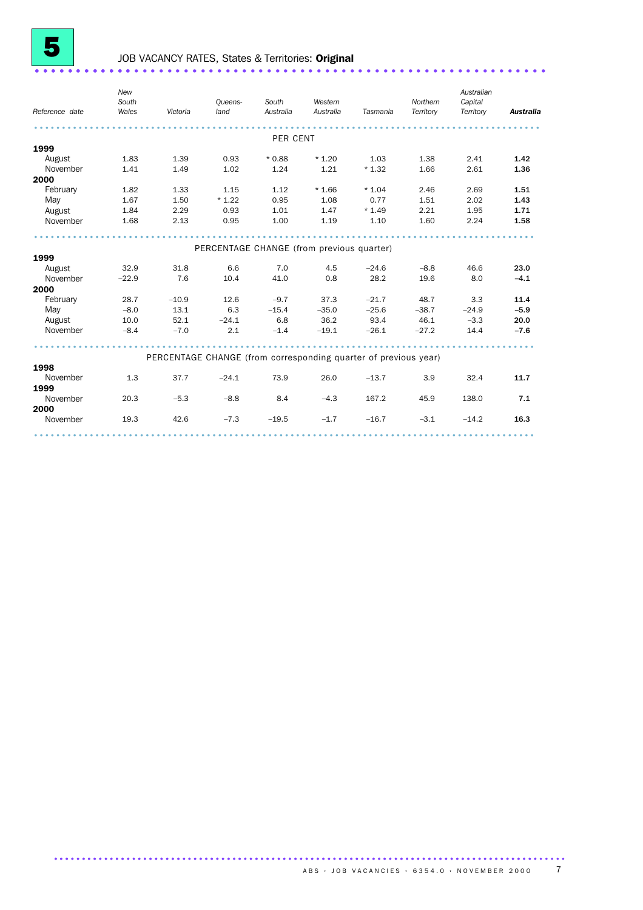

# JOB VACANCY RATES, States & Territories: Original ...............................

*Reference date New South Wales Victoria Queensland South Australia Western Australia Tasmania Northern Territory Australian Capital Territory Australia* ........................................................................................... PER CENT 1999 August 1.83 1.39 0.93 \* 0.88 \* 1.20 1.03 1.38 2.41 1.42<br>November 1.41 1.49 1.02 1.24 1.21 \* 1.32 1.66 2.61 1.36 November 1.41 1.49 1.02 1.24 1.21 \* 1.32 1.66 2.61 1.36 2000 February 1.82 1.33 1.15 1.12 \* 1.66 \* 1.04 2.46 2.69 1.51 May 1.67 1.50 \* 1.22 0.95 1.08 0.77 1.51 2.02 1.43 August 1.84 2.29 0.93 1.01 1.47 \* 1.49 2.21 1.95 1.71 Nay 1.67 1.50 \* 1.22 0.95 1.08 0.77 1.51 2.02 1.43<br>
August 1.84 2.29 0.93 1.01 1.47 \* 1.49 2.21 1.95 1.71<br>
November 1.68 2.13 0.95 1.00 1.19 1.10 1.60 2.24 1.58 .......................................................................................... PERCENTAGE CHANGE (from previous quarter) 1999 August 32.9 31.8 6.6 7.0 4.5 –24.6 –8.8 46.6 23.0<br>November –22.9 7.6 10.4 41.0 0.8 28.2 19.6 8.0 –4.1 November –22.9 7.6 10.4 41.0 0.8 28.2 19.6 8.0 –4.1 2000<br>February February 28.7 – 10.9 12.6 – 9.7 37.3 – 21.7 48.7 3.3 11.4<br>
−8.0 13.1 6.3 – 15.4 – 35.0 – 25.6 – 38.7 – 24.9 – 5.9<br>
−1.1 − 26.0 03.4 46.1 – 3.3 20.0 May –8.0 13.1 6.3 –15.4 –35.0 –25.6 –38.7 –24.9 –5.9 August 10.0 52.1 –24.1 6.8 36.2 93.4 46.1 –3.3 20.0 November –8.4 –7.0 2.1 –1.4 –19.1 –26.1 –27.2 14.4 –7.6 .......................................................................................... PERCENTAGE CHANGE (from corresponding quarter of previous year) 1998<br>November November 1.3 37.7 –24.1 73.9 26.0 –13.7 3.9 32.4 11.7 1999 November 20.3 –5.3 –8.8 8.4 –4.3 167.2 45.9 138.0 7.1 2000<br>November November 19.3 42.6 –7.3 –19.5 –1.7 –16.7 –3.1 –14.2 16.3 ..........................................................................................

............................................................................................ .......................................................................................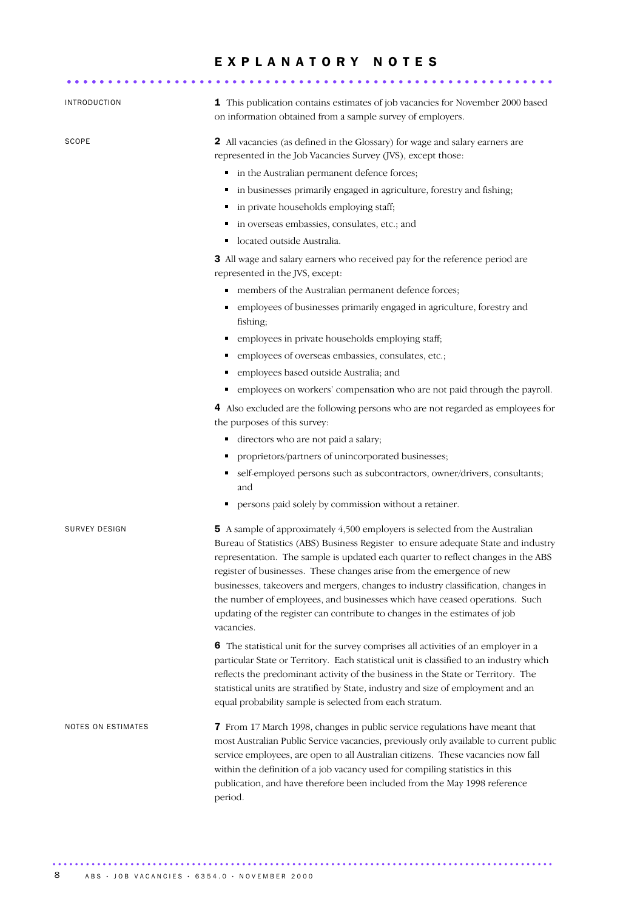|                      | EXPLANATORY NOTES                                                                                                                                                                                                                                                                                                                                                                                                                                                                                                                                                                                                                                                                                                                                                                                                                                                                                                                                                                                                         |
|----------------------|---------------------------------------------------------------------------------------------------------------------------------------------------------------------------------------------------------------------------------------------------------------------------------------------------------------------------------------------------------------------------------------------------------------------------------------------------------------------------------------------------------------------------------------------------------------------------------------------------------------------------------------------------------------------------------------------------------------------------------------------------------------------------------------------------------------------------------------------------------------------------------------------------------------------------------------------------------------------------------------------------------------------------|
| INTRODUCTION         | 1 This publication contains estimates of job vacancies for November 2000 based<br>on information obtained from a sample survey of employers.                                                                                                                                                                                                                                                                                                                                                                                                                                                                                                                                                                                                                                                                                                                                                                                                                                                                              |
| SCOPE                | 2 All vacancies (as defined in the Glossary) for wage and salary earners are<br>represented in the Job Vacancies Survey (JVS), except those:<br>• in the Australian permanent defence forces;<br>• in businesses primarily engaged in agriculture, forestry and fishing;<br>in private households employing staff;<br>٠<br>in overseas embassies, consulates, etc.; and<br>located outside Australia.<br>٠                                                                                                                                                                                                                                                                                                                                                                                                                                                                                                                                                                                                                |
|                      | 3 All wage and salary earners who received pay for the reference period are<br>represented in the JVS, except:<br>- members of the Australian permanent defence forces;<br>employees of businesses primarily engaged in agriculture, forestry and<br>٠<br>fishing;<br>employees in private households employing staff;<br>employees of overseas embassies, consulates, etc.;<br>employees based outside Australia; and<br>٠<br>employees on workers' compensation who are not paid through the payroll.<br>٠<br>4 Also excluded are the following persons who are not regarded as employees for<br>the purposes of this survey:<br>directors who are not paid a salary;<br>٠<br>proprietors/partners of unincorporated businesses;<br>٠<br>self-employed persons such as subcontractors, owner/drivers, consultants;<br>٠<br>and<br>persons paid solely by commission without a retainer.                                                                                                                                 |
| <b>SURVEY DESIGN</b> | <b>5</b> A sample of approximately 4,500 employers is selected from the Australian<br>Bureau of Statistics (ABS) Business Register to ensure adequate State and industry<br>representation. The sample is updated each quarter to reflect changes in the ABS<br>register of businesses. These changes arise from the emergence of new<br>businesses, takeovers and mergers, changes to industry classification, changes in<br>the number of employees, and businesses which have ceased operations. Such<br>updating of the register can contribute to changes in the estimates of job<br>vacancies.<br>6 The statistical unit for the survey comprises all activities of an employer in a<br>particular State or Territory. Each statistical unit is classified to an industry which<br>reflects the predominant activity of the business in the State or Territory. The<br>statistical units are stratified by State, industry and size of employment and an<br>equal probability sample is selected from each stratum. |
| NOTES ON ESTIMATES   | 7 From 17 March 1998, changes in public service regulations have meant that<br>most Australian Public Service vacancies, previously only available to current public<br>service employees, are open to all Australian citizens. These vacancies now fall<br>within the definition of a job vacancy used for compiling statistics in this<br>publication, and have therefore been included from the May 1998 reference<br>period.                                                                                                                                                                                                                                                                                                                                                                                                                                                                                                                                                                                          |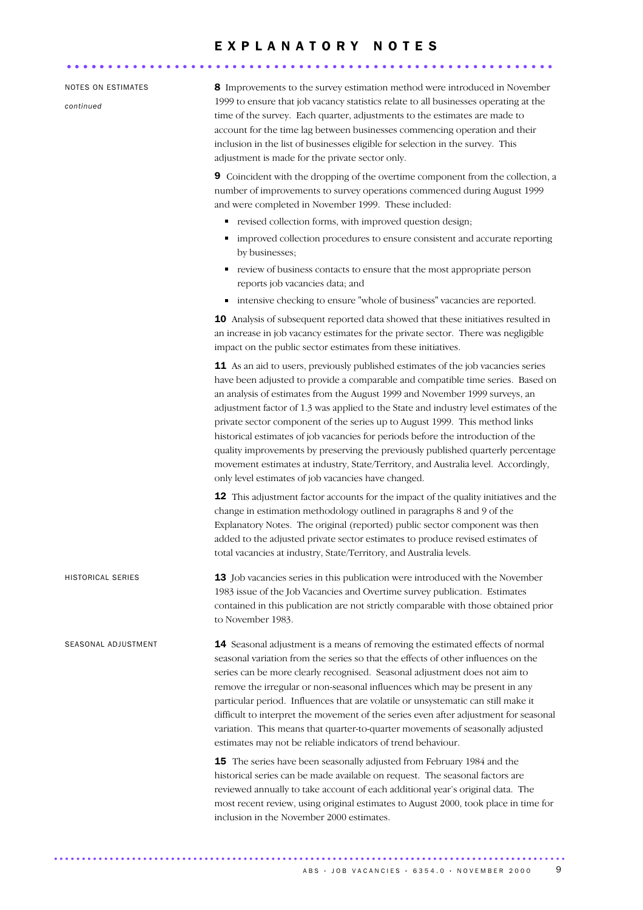### E X P L A N A T O R Y N O T E S ........................................................... .....

#### NOTES ON ESTIMATES

*continued*

8 Improvements to the survey estimation method were introduced in November 1999 to ensure that job vacancy statistics relate to all businesses operating at the time of the survey. Each quarter, adjustments to the estimates are made to account for the time lag between businesses commencing operation and their inclusion in the list of businesses eligible for selection in the survey. This adjustment is made for the private sector only.

9 Coincident with the dropping of the overtime component from the collection, a number of improvements to survey operations commenced during August 1999 and were completed in November 1999. These included:

- revised collection forms, with improved question design;
- improved collection procedures to ensure consistent and accurate reporting by businesses;
- review of business contacts to ensure that the most appropriate person reports job vacancies data; and
- intensive checking to ensure "whole of business" vacancies are reported.

10 Analysis of subsequent reported data showed that these initiatives resulted in an increase in job vacancy estimates for the private sector. There was negligible impact on the public sector estimates from these initiatives.

11 As an aid to users, previously published estimates of the job vacancies series have been adjusted to provide a comparable and compatible time series. Based on an analysis of estimates from the August 1999 and November 1999 surveys, an adjustment factor of 1.3 was applied to the State and industry level estimates of the private sector component of the series up to August 1999. This method links historical estimates of job vacancies for periods before the introduction of the quality improvements by preserving the previously published quarterly percentage movement estimates at industry, State/Territory, and Australia level. Accordingly, only level estimates of job vacancies have changed.

12 This adjustment factor accounts for the impact of the quality initiatives and the change in estimation methodology outlined in paragraphs 8 and 9 of the Explanatory Notes. The original (reported) public sector component was then added to the adjusted private sector estimates to produce revised estimates of total vacancies at industry, State/Territory, and Australia levels.

HISTORICAL SERIES 13 Job vacancies series in this publication were introduced with the November 1983 issue of the Job Vacancies and Overtime survey publication. Estimates contained in this publication are not strictly comparable with those obtained prior to November 1983.

SEASONAL ADJUSTMENT 14 Seasonal adjustment is a means of removing the estimated effects of normal seasonal variation from the series so that the effects of other influences on the series can be more clearly recognised. Seasonal adjustment does not aim to remove the irregular or non-seasonal influences which may be present in any particular period. Influences that are volatile or unsystematic can still make it difficult to interpret the movement of the series even after adjustment for seasonal variation. This means that quarter-to-quarter movements of seasonally adjusted estimates may not be reliable indicators of trend behaviour.

............................................................................................ .......................................................................................

**15** The series have been seasonally adjusted from February 1984 and the historical series can be made available on request. The seasonal factors are reviewed annually to take account of each additional year's original data. The most recent review, using original estimates to August 2000, took place in time for inclusion in the November 2000 estimates.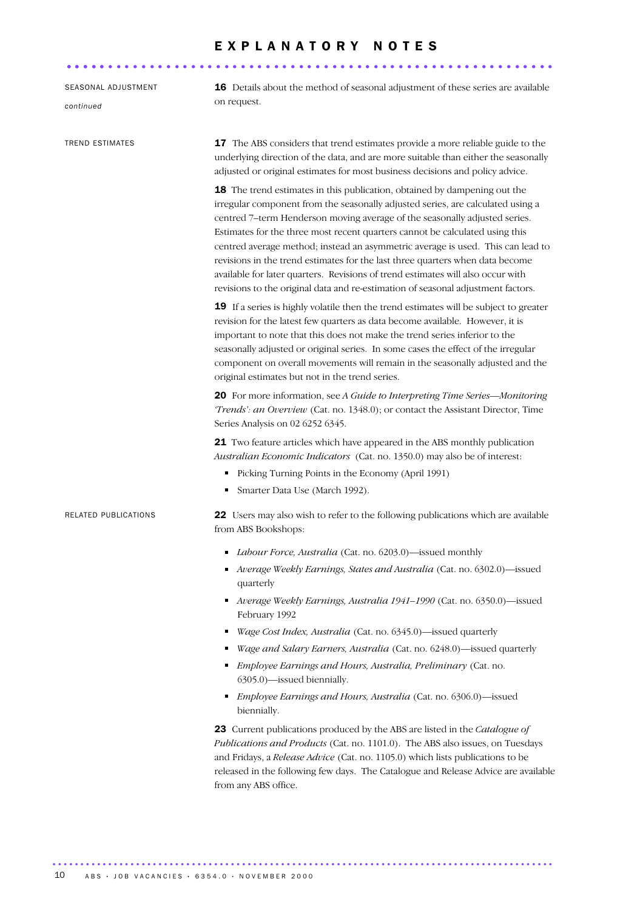|                                  | EXPLANATORY NOTES                                                                                                                                                                                                                                                                                                                                                                                                                                                                                                                                                                                                                                                     |
|----------------------------------|-----------------------------------------------------------------------------------------------------------------------------------------------------------------------------------------------------------------------------------------------------------------------------------------------------------------------------------------------------------------------------------------------------------------------------------------------------------------------------------------------------------------------------------------------------------------------------------------------------------------------------------------------------------------------|
|                                  |                                                                                                                                                                                                                                                                                                                                                                                                                                                                                                                                                                                                                                                                       |
| SEASONAL ADJUSTMENT<br>continued | 16 Details about the method of seasonal adjustment of these series are available<br>on request.                                                                                                                                                                                                                                                                                                                                                                                                                                                                                                                                                                       |
| <b>TREND ESTIMATES</b>           | 17 The ABS considers that trend estimates provide a more reliable guide to the<br>underlying direction of the data, and are more suitable than either the seasonally<br>adjusted or original estimates for most business decisions and policy advice.                                                                                                                                                                                                                                                                                                                                                                                                                 |
|                                  | 18 The trend estimates in this publication, obtained by dampening out the<br>irregular component from the seasonally adjusted series, are calculated using a<br>centred 7-term Henderson moving average of the seasonally adjusted series.<br>Estimates for the three most recent quarters cannot be calculated using this<br>centred average method; instead an asymmetric average is used. This can lead to<br>revisions in the trend estimates for the last three quarters when data become<br>available for later quarters. Revisions of trend estimates will also occur with<br>revisions to the original data and re-estimation of seasonal adjustment factors. |
|                                  | 19 If a series is highly volatile then the trend estimates will be subject to greater<br>revision for the latest few quarters as data become available. However, it is<br>important to note that this does not make the trend series inferior to the<br>seasonally adjusted or original series. In some cases the effect of the irregular<br>component on overall movements will remain in the seasonally adjusted and the<br>original estimates but not in the trend series.                                                                                                                                                                                         |
|                                  | 20 For more information, see A Guide to Interpreting Time Series-Monitoring<br>'Trends': an Overview (Cat. no. 1348.0); or contact the Assistant Director, Time<br>Series Analysis on 02 6252 6345.                                                                                                                                                                                                                                                                                                                                                                                                                                                                   |
|                                  | 21 Two feature articles which have appeared in the ABS monthly publication<br>Australian Economic Indicators (Cat. no. 1350.0) may also be of interest:                                                                                                                                                                                                                                                                                                                                                                                                                                                                                                               |
|                                  | Picking Turning Points in the Economy (April 1991)<br>٠<br>Smarter Data Use (March 1992).<br>Е                                                                                                                                                                                                                                                                                                                                                                                                                                                                                                                                                                        |
| <b>RELATED PUBLICATIONS</b>      | 22 Users may also wish to refer to the following publications which are available<br>from ABS Bookshops:                                                                                                                                                                                                                                                                                                                                                                                                                                                                                                                                                              |
|                                  | Labour Force, Australia (Cat. no. 6203.0)—issued monthly<br>٠<br>Average Weekly Earnings, States and Australia (Cat. no. 6302.0)—issued<br>quarterly                                                                                                                                                                                                                                                                                                                                                                                                                                                                                                                  |
|                                  | Average Weekly Earnings, Australia 1941-1990 (Cat. no. 6350.0)-issued<br>February 1992                                                                                                                                                                                                                                                                                                                                                                                                                                                                                                                                                                                |
|                                  | Wage Cost Index, Australia (Cat. no. 6345.0)—issued quarterly<br>п                                                                                                                                                                                                                                                                                                                                                                                                                                                                                                                                                                                                    |
|                                  | Wage and Salary Earners, Australia (Cat. no. 6248.0)—issued quarterly<br>п                                                                                                                                                                                                                                                                                                                                                                                                                                                                                                                                                                                            |
|                                  | Employee Earnings and Hours, Australia, Preliminary (Cat. no.<br>6305.0)-issued biennially.                                                                                                                                                                                                                                                                                                                                                                                                                                                                                                                                                                           |
|                                  | <i>Employee Earnings and Hours, Australia</i> (Cat. no. 6306.0)—issued<br>٠<br>biennially.                                                                                                                                                                                                                                                                                                                                                                                                                                                                                                                                                                            |
|                                  | 23 Current publications produced by the ABS are listed in the Catalogue of<br>Publications and Products (Cat. no. 1101.0). The ABS also issues, on Tuesdays<br>and Fridays, a Release Advice (Cat. no. 1105.0) which lists publications to be<br>released in the following few days. The Catalogue and Release Advice are available<br>from any ABS office.                                                                                                                                                                                                                                                                                                           |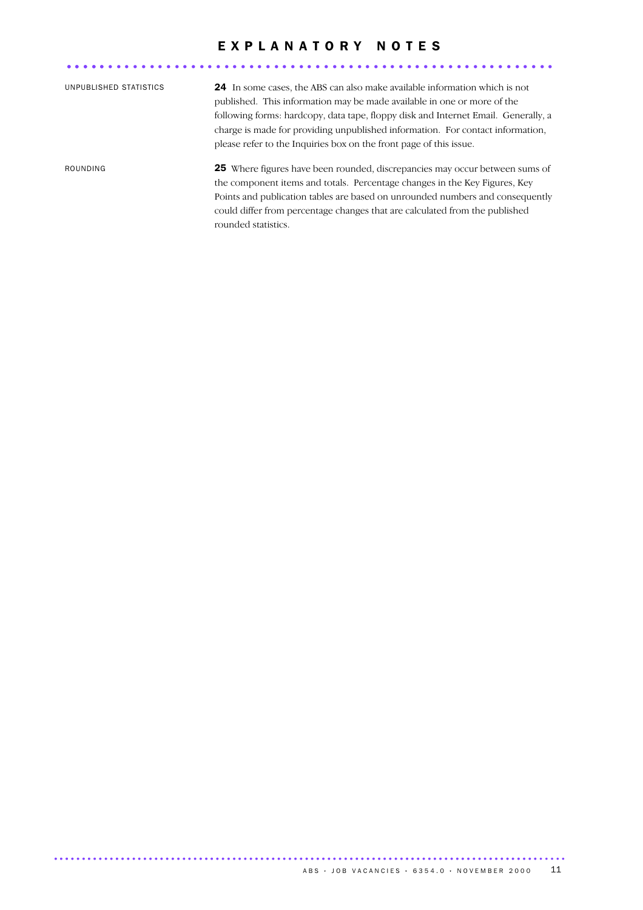### EXPLANATORY NOTES

| UNPUBLISHED STATISTICS | <b>24</b> In some cases, the ABS can also make available information which is not<br>published. This information may be made available in one or more of the<br>following forms: hardcopy, data tape, floppy disk and Internet Email. Generally, a<br>charge is made for providing unpublished information. For contact information,<br>please refer to the Inquiries box on the front page of this issue. |
|------------------------|------------------------------------------------------------------------------------------------------------------------------------------------------------------------------------------------------------------------------------------------------------------------------------------------------------------------------------------------------------------------------------------------------------|
| ROUNDING               | <b>25</b> Where figures have been rounded, discrepancies may occur between sums of<br>the component items and totals. Percentage changes in the Key Figures, Key<br>Points and publication tables are based on unrounded numbers and consequently<br>could differ from percentage changes that are calculated from the published<br>rounded statistics.                                                    |

........................................................... .....

............................................................................................ .......................................................................................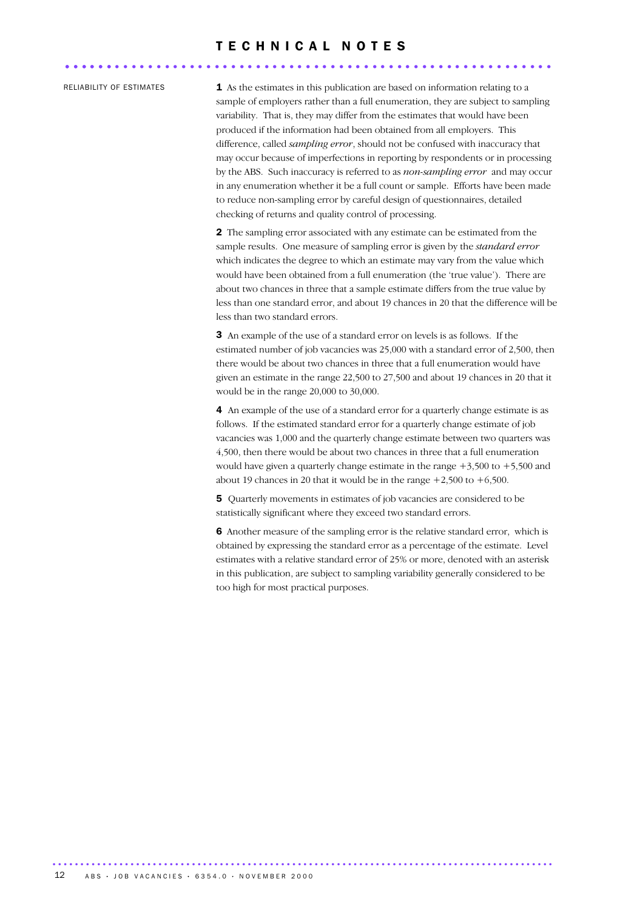### T E C H N I C A L N O T E S ........................................................... ......

RELIABILITY OF ESTIMATES  $1$  As the estimates in this publication are based on information relating to a sample of employers rather than a full enumeration, they are subject to sampling variability. That is, they may differ from the estimates that would have been produced if the information had been obtained from all employers. This difference, called *sampling error*, should not be confused with inaccuracy that may occur because of imperfections in reporting by respondents or in processing by the ABS. Such inaccuracy is referred to as *non-sampling error* and may occur in any enumeration whether it be a full count or sample. Efforts have been made to reduce non-sampling error by careful design of questionnaires, detailed checking of returns and quality control of processing.

> 2 The sampling error associated with any estimate can be estimated from the sample results. One measure of sampling error is given by the *standard error* which indicates the degree to which an estimate may vary from the value which would have been obtained from a full enumeration (the 'true value'). There are about two chances in three that a sample estimate differs from the true value by less than one standard error, and about 19 chances in 20 that the difference will be less than two standard errors.

> 3 An example of the use of a standard error on levels is as follows. If the estimated number of job vacancies was 25,000 with a standard error of 2,500, then there would be about two chances in three that a full enumeration would have given an estimate in the range 22,500 to 27,500 and about 19 chances in 20 that it would be in the range 20,000 to 30,000.

4 An example of the use of a standard error for a quarterly change estimate is as follows. If the estimated standard error for a quarterly change estimate of job vacancies was 1,000 and the quarterly change estimate between two quarters was 4,500, then there would be about two chances in three that a full enumeration would have given a quarterly change estimate in the range  $+3,500$  to  $+5,500$  and about 19 chances in 20 that it would be in the range  $+2,500$  to  $+6,500$ .

5 Quarterly movements in estimates of job vacancies are considered to be statistically significant where they exceed two standard errors.

6 Another measure of the sampling error is the relative standard error, which is obtained by expressing the standard error as a percentage of the estimate. Level estimates with a relative standard error of 25% or more, denoted with an asterisk in this publication, are subject to sampling variability generally considered to be too high for most practical purposes.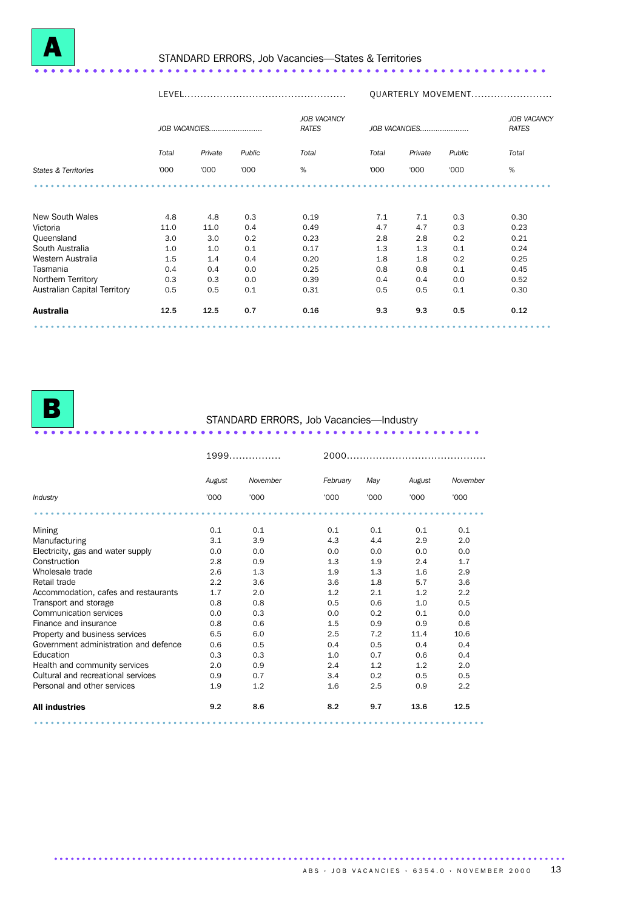# <sup>A</sup> STANDARD ERRORS, Job Vacancies—States & Territories .............................................................. .............

|                              |       |               |        |                                    | QUARTERLY MOVEMENT |         |        |       |  |
|------------------------------|-------|---------------|--------|------------------------------------|--------------------|---------|--------|-------|--|
|                              |       | JOB VACANCIES |        | <b>JOB VACANCY</b><br><b>RATES</b> | JOB VACANCIES      |         |        |       |  |
|                              | Total | Private       | Public | Total                              | Total              | Private | Public | Total |  |
| States & Territories         | '000  | '000          | '000   | %                                  | '000               | '000    | '000   | %     |  |
|                              |       |               |        |                                    |                    |         |        |       |  |
| New South Wales              | 4.8   | 4.8           | 0.3    | 0.19                               | 7.1                | 7.1     | 0.3    | 0.30  |  |
| Victoria                     | 11.0  | 11.0          | 0.4    | 0.49                               | 4.7                | 4.7     | 0.3    | 0.23  |  |
| Queensland                   | 3.0   | 3.0           | 0.2    | 0.23                               | 2.8                | 2.8     | 0.2    | 0.21  |  |
| South Australia              | 1.0   | 1.0           | 0.1    | 0.17                               | 1.3                | 1.3     | 0.1    | 0.24  |  |
| Western Australia            | 1.5   | 1.4           | 0.4    | 0.20                               | 1.8                | 1.8     | 0.2    | 0.25  |  |
| Tasmania                     | 0.4   | 0.4           | 0.0    | 0.25                               | 0.8                | 0.8     | 0.1    | 0.45  |  |
| Northern Territory           | 0.3   | 0.3           | 0.0    | 0.39                               | 0.4                | 0.4     | 0.0    | 0.52  |  |
| Australian Capital Territory | 0.5   | 0.5           | 0.1    | 0.31                               | 0.5                | 0.5     | 0.1    | 0.30  |  |
| Australia                    | 12.5  | 12.5          | 0.7    | 0.16                               | 9.3                | 9.3     | 0.5    | 0.12  |  |
|                              |       |               |        |                                    |                    |         |        |       |  |

............................................................................................ .......................................................................................

# <sup>B</sup> STANDARD ERRORS, Job Vacancies—Industry ...................................................... .............................

|                                       |        | 1999     |          |      |        |          |  |
|---------------------------------------|--------|----------|----------|------|--------|----------|--|
|                                       | August | November | February | May  | August | November |  |
| Industry                              | '000   | '000     | '000     | '000 | '000   | '000     |  |
|                                       |        |          |          |      |        |          |  |
| Mining                                | 0.1    | 0.1      | 0.1      | 0.1  | 0.1    | 0.1      |  |
| Manufacturing                         | 3.1    | 3.9      | 4.3      | 4.4  | 2.9    | 2.0      |  |
| Electricity, gas and water supply     | 0.0    | 0.0      | 0.0      | 0.0  | 0.0    | 0.0      |  |
| Construction                          | 2.8    | 0.9      | 1.3      | 1.9  | 2.4    | 1.7      |  |
| Wholesale trade                       | 2.6    | 1.3      | 1.9      | 1.3  | 1.6    | 2.9      |  |
| Retail trade                          | 2.2    | 3.6      | 3.6      | 1.8  | 5.7    | 3.6      |  |
| Accommodation, cafes and restaurants  | 1.7    | 2.0      | 1.2      | 2.1  | 1.2    | 2.2      |  |
| Transport and storage                 | 0.8    | 0.8      | 0.5      | 0.6  | 1.0    | 0.5      |  |
| Communication services                | 0.0    | 0.3      | 0.0      | 0.2  | 0.1    | 0.0      |  |
| Finance and insurance                 | 0.8    | 0.6      | 1.5      | 0.9  | 0.9    | 0.6      |  |
| Property and business services        | 6.5    | 6.0      | 2.5      | 7.2  | 11.4   | 10.6     |  |
| Government administration and defence | 0.6    | 0.5      | 0.4      | 0.5  | 0.4    | 0.4      |  |
| Education                             | 0.3    | 0.3      | 1.0      | 0.7  | 0.6    | 0.4      |  |
| Health and community services         | 2.0    | 0.9      | 2.4      | 1.2  | 1.2    | 2.0      |  |
| Cultural and recreational services    | 0.9    | 0.7      | 3.4      | 0.2  | 0.5    | 0.5      |  |
| Personal and other services           | 1.9    | 1.2      | 1.6      | 2.5  | 0.9    | 2.2      |  |
| <b>All industries</b>                 | 9.2    | 8.6      | 8.2      | 9.7  | 13.6   | 12.5     |  |
|                                       |        |          |          |      |        |          |  |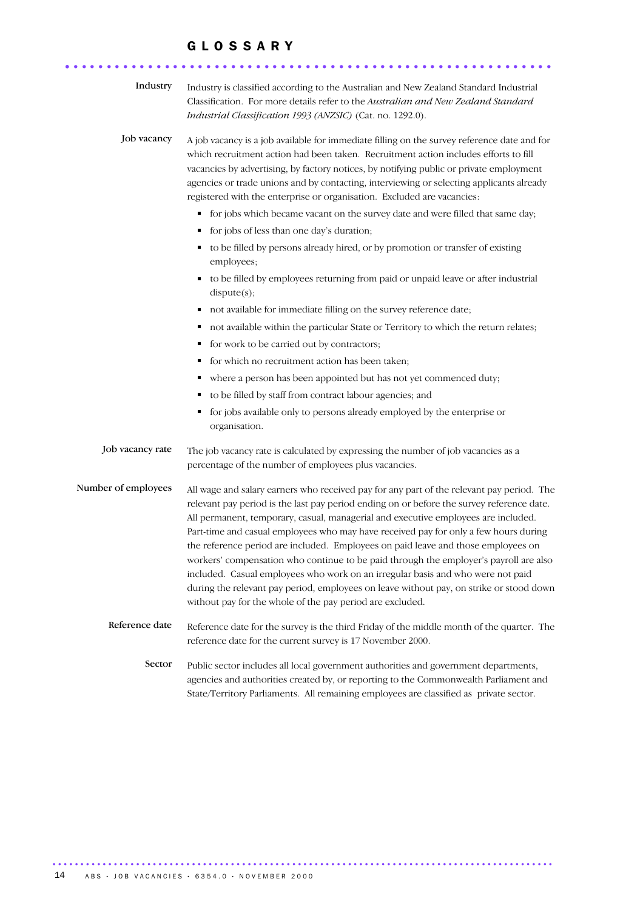#### G L O S S A R Y

........................................................... .

| Industry            | Industry is classified according to the Australian and New Zealand Standard Industrial<br>Classification. For more details refer to the Australian and New Zealand Standard<br>Industrial Classification 1993 (ANZSIC) (Cat. no. 1292.0).                                                                                                                                                                                                                                                                                                                                                                                                                                                                                                                                                     |
|---------------------|-----------------------------------------------------------------------------------------------------------------------------------------------------------------------------------------------------------------------------------------------------------------------------------------------------------------------------------------------------------------------------------------------------------------------------------------------------------------------------------------------------------------------------------------------------------------------------------------------------------------------------------------------------------------------------------------------------------------------------------------------------------------------------------------------|
| Job vacancy         | A job vacancy is a job available for immediate filling on the survey reference date and for<br>which recruitment action had been taken. Recruitment action includes efforts to fill<br>vacancies by advertising, by factory notices, by notifying public or private employment<br>agencies or trade unions and by contacting, interviewing or selecting applicants already<br>registered with the enterprise or organisation. Excluded are vacancies:                                                                                                                                                                                                                                                                                                                                         |
|                     | • for jobs which became vacant on the survey date and were filled that same day;                                                                                                                                                                                                                                                                                                                                                                                                                                                                                                                                                                                                                                                                                                              |
|                     | • for jobs of less than one day's duration;                                                                                                                                                                                                                                                                                                                                                                                                                                                                                                                                                                                                                                                                                                                                                   |
|                     | to be filled by persons already hired, or by promotion or transfer of existing<br>employees;                                                                                                                                                                                                                                                                                                                                                                                                                                                                                                                                                                                                                                                                                                  |
|                     | to be filled by employees returning from paid or unpaid leave or after industrial<br>dispute(s);                                                                                                                                                                                                                                                                                                                                                                                                                                                                                                                                                                                                                                                                                              |
|                     | not available for immediate filling on the survey reference date;<br>п                                                                                                                                                                                                                                                                                                                                                                                                                                                                                                                                                                                                                                                                                                                        |
|                     | not available within the particular State or Territory to which the return relates;<br>٠                                                                                                                                                                                                                                                                                                                                                                                                                                                                                                                                                                                                                                                                                                      |
|                     | for work to be carried out by contractors;<br>п                                                                                                                                                                                                                                                                                                                                                                                                                                                                                                                                                                                                                                                                                                                                               |
|                     | for which no recruitment action has been taken;<br>п                                                                                                                                                                                                                                                                                                                                                                                                                                                                                                                                                                                                                                                                                                                                          |
|                     | where a person has been appointed but has not yet commenced duty;<br>п                                                                                                                                                                                                                                                                                                                                                                                                                                                                                                                                                                                                                                                                                                                        |
|                     | to be filled by staff from contract labour agencies; and                                                                                                                                                                                                                                                                                                                                                                                                                                                                                                                                                                                                                                                                                                                                      |
|                     | for jobs available only to persons already employed by the enterprise or<br>٠<br>organisation.                                                                                                                                                                                                                                                                                                                                                                                                                                                                                                                                                                                                                                                                                                |
| Job vacancy rate    | The job vacancy rate is calculated by expressing the number of job vacancies as a<br>percentage of the number of employees plus vacancies.                                                                                                                                                                                                                                                                                                                                                                                                                                                                                                                                                                                                                                                    |
| Number of employees | All wage and salary earners who received pay for any part of the relevant pay period. The<br>relevant pay period is the last pay period ending on or before the survey reference date.<br>All permanent, temporary, casual, managerial and executive employees are included.<br>Part-time and casual employees who may have received pay for only a few hours during<br>the reference period are included. Employees on paid leave and those employees on<br>workers' compensation who continue to be paid through the employer's payroll are also<br>included. Casual employees who work on an irregular basis and who were not paid<br>during the relevant pay period, employees on leave without pay, on strike or stood down<br>without pay for the whole of the pay period are excluded. |
| Reference date      | Reference date for the survey is the third Friday of the middle month of the quarter. The<br>reference date for the current survey is 17 November 2000.                                                                                                                                                                                                                                                                                                                                                                                                                                                                                                                                                                                                                                       |
| Sector              | Public sector includes all local government authorities and government departments,<br>agencies and authorities created by, or reporting to the Commonwealth Parliament and<br>State/Territory Parliaments. All remaining employees are classified as private sector.                                                                                                                                                                                                                                                                                                                                                                                                                                                                                                                         |